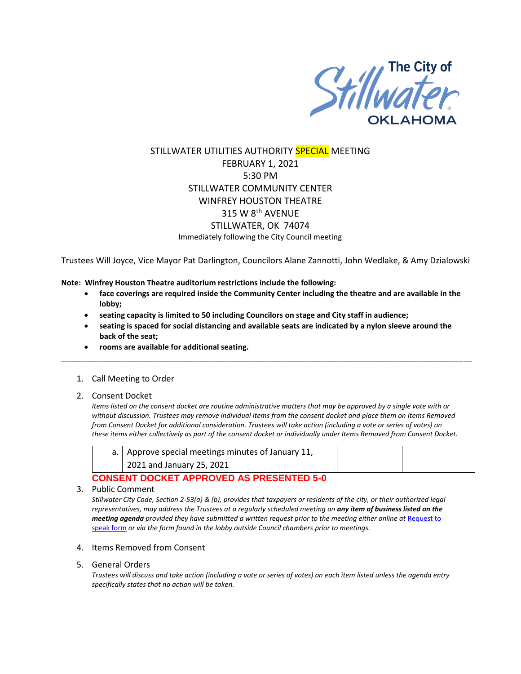

# STILLWATER UTILITIES AUTHORITY SPECIAL MEETING FEBRUARY 1, 2021 5:30 PM STILLWATER COMMUNITY CENTER WINFREY HOUSTON THEATRE 315 W 8th AVENUE STILLWATER, OK 74074 Immediately following the City Council meeting

Trustees Will Joyce, Vice Mayor Pat Darlington, Councilors Alane Zannotti, John Wedlake, & Amy Dzialowski

**Note: Winfrey Houston Theatre auditorium restrictions include the following:**

- **face coverings are required inside the Community Center including the theatre and are available in the lobby;**
- **seating capacity is limited to 50 including Councilors on stage and City staff in audience;**
- **seating is spaced for social distancing and available seats are indicated by a nylon sleeve around the back of the seat;**

\_\_\_\_\_\_\_\_\_\_\_\_\_\_\_\_\_\_\_\_\_\_\_\_\_\_\_\_\_\_\_\_\_\_\_\_\_\_\_\_\_\_\_\_\_\_\_\_\_\_\_\_\_\_\_\_\_\_\_\_\_\_\_\_\_\_\_\_\_\_\_\_\_\_\_\_\_\_\_\_\_\_\_\_\_\_\_\_\_\_\_\_\_\_\_\_\_

- **rooms are available for additional seating.**
- 1. Call Meeting to Order
- 2. Consent Docket

*Items listed on the consent docket are routine administrative matters that may be approved by a single vote with or without discussion. Trustees may remove individual items from the consent docket and place them on Items Removed from Consent Docket for additional consideration. Trustees will take action (including a vote or series of votes) on these items either collectively as part of the consent docket or individually under Items Removed from Consent Docket.*

|  | a.   Approve special meetings minutes of January 11, |  |  |  |
|--|------------------------------------------------------|--|--|--|
|  | 2021 and January 25, 2021                            |  |  |  |
|  |                                                      |  |  |  |

### **CONSENT DOCKET APPROVED AS PRESENTED 5-0**

3. Public Comment

*Stillwater City Code, Section 2-53(a) & (b), provides that taxpayers or residents of the city, or their authorized legal representatives, may address the Trustees at a regularly scheduled meeting on any item of business listed on the meeting agenda provided they have submitted a written request prior to the meeting either online at Request to* [speak form](http://stillwater.org/page/home/government/mayor-city-council/meetings-agendas-minutes/online-request-to-speak-at-city-council) *or via the form found in the lobby outside Council chambers prior to meetings.*

- 4. Items Removed from Consent
- 5. General Orders

*Trustees will discuss and take action (including a vote or series of votes) on each item listed unless the agenda entry specifically states that no action will be taken.*